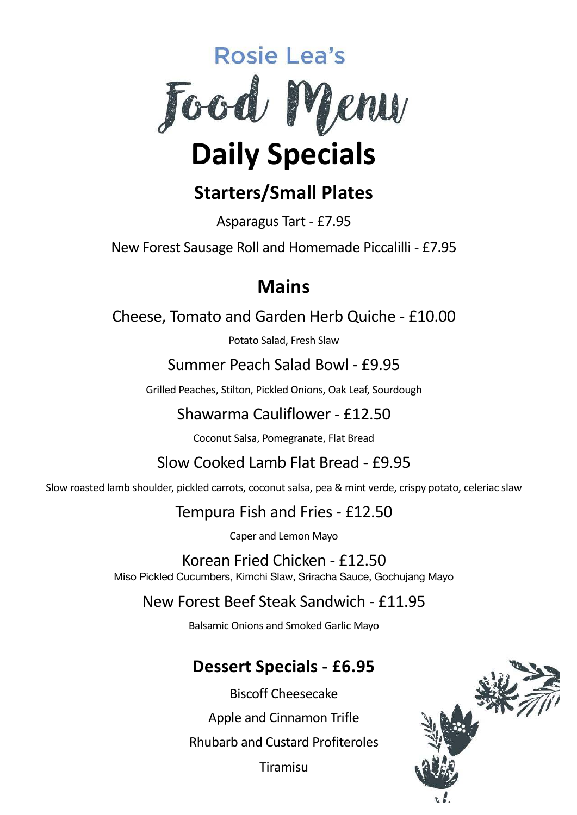

# **Starters/Small Plates**

Asparagus Tart - £7.95

New Forest Sausage Roll and Homemade Piccalilli - £7.95

### **Mains**

Cheese, Tomato and Garden Herb Quiche - £10.00

Potato Salad, Fresh Slaw

#### Summer Peach Salad Bowl - £9.95

Grilled Peaches, Stilton, Pickled Onions, Oak Leaf, Sourdough

#### Shawarma Cauliflower - £12.50

Coconut Salsa, Pomegranate, Flat Bread

#### Slow Cooked Lamb Flat Bread - £9.95

Slow roasted lamb shoulder, pickled carrots, coconut salsa, pea & mint verde, crispy potato, celeriac slaw

#### Tempura Fish and Fries - £12.50

Caper and Lemon Mayo

Korean Fried Chicken - £12.50 Miso Pickled Cucumbers, Kimchi Slaw, Sriracha Sauce, Gochujang Mayo

#### New Forest Beef Steak Sandwich - £11.95

Balsamic Onions and Smoked Garlic Mayo

### **Dessert Specials - £6.95**

Biscoff Cheesecake Apple and Cinnamon Trifle Rhubarb and Custard Profiteroles Tiramisu